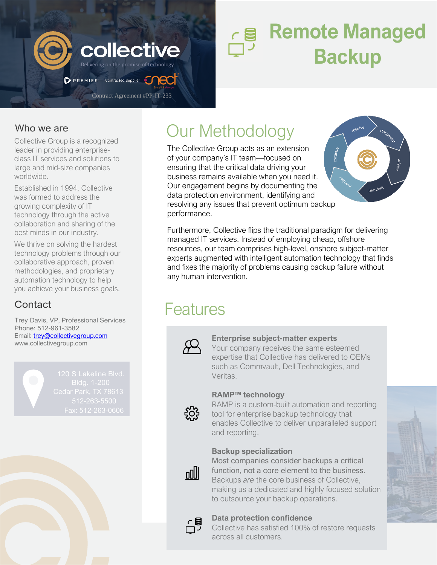

# **Remote Managed COILECTIVE Backup**

### Who we are

Collective Group is a recognized leader in providing enterpriseclass IT services and solutions to large and mid-size companies worldwide.

Established in 1994, Collective was formed to address the growing complexity of IT technology through the active collaboration and sharing of the best minds in our industry.

We thrive on solving the hardest technology problems through our collaborative approach, proven methodologies, and proprietary automation technology to help you achieve your business goals.

Trey Davis, VP, Professional Services Phone: 512-961-3582 Email: **trey@collectivegroup.com** [www.collectivegroup.com](http://www.collectivegroup.com/)

## Our Methodology

The Collective Group acts as an extension of your company's IT team—focused on ensuring that the critical data driving your business remains available when you need it. Our engagement begins by documenting the data protection environment, identifying and resolving any issues that prevent optimum backup performance.



Furthermore, Collective flips the traditional paradigm for delivering managed IT services. Instead of employing cheap, offshore resources, our team comprises high-level, onshore subject-matter experts augmented with intelligent automation technology that finds and fixes the majority of problems causing backup failure without any human intervention.

### **Contact Example 2** Features



#### **Enterprise subject-matter experts**

Your company receives the same esteemed expertise that Collective has delivered to OEMs such as Commvault, Dell Technologies, and Veritas.



#### **RAMP™ technology**

RAMP is a custom-built automation and reporting tool for enterprise backup technology that enables Collective to deliver unparalleled support and reporting.

#### **Backup specialization**

Most companies consider backups a critical function, not a core element to the business. Backups *are* the core business of Collective, making us a dedicated and highly focused solution to outsource your backup operations.



oolll

#### **Data protection confidence**

Collective has satisfied 100% of restore requests across all customers.